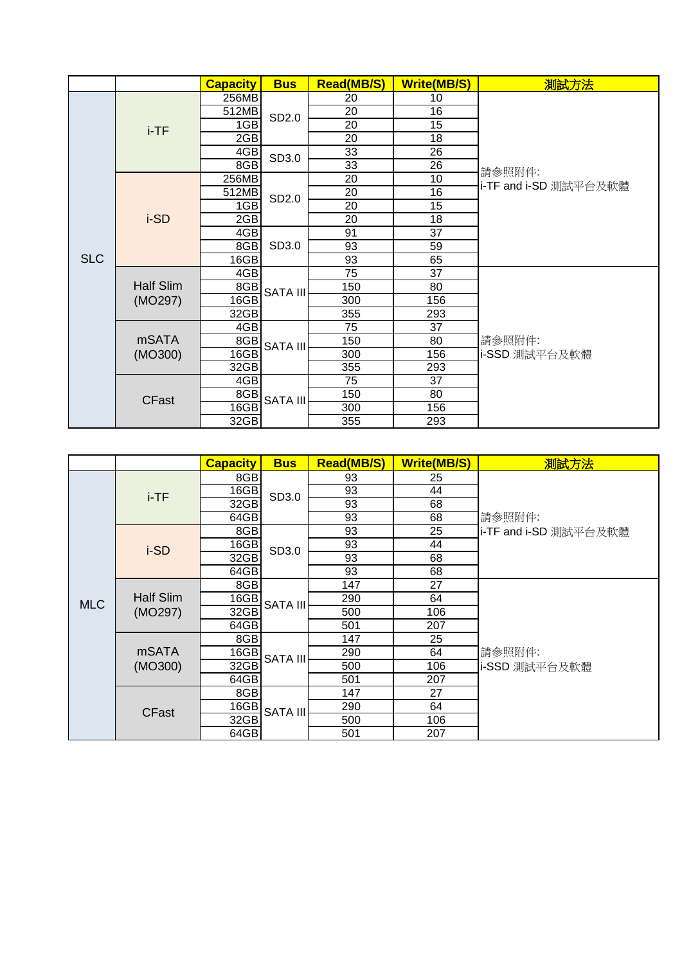|            |                         | <b>Capacity</b> | <b>Bus</b>      | <b>Read(MB/S)</b> | <b>Write(MB/S)</b> | 測試方法                    |
|------------|-------------------------|-----------------|-----------------|-------------------|--------------------|-------------------------|
| <b>SLC</b> | $i$ -TF                 | 256MB           | SD2.0           | 20                | 10                 |                         |
|            |                         | 512MB           |                 | $\overline{20}$   | 16                 |                         |
|            |                         | 1GB             |                 | 20                | 15                 | 請參照附件:                  |
|            |                         | 2GB             |                 | 20                | 18                 |                         |
|            |                         | 4GB             | SD3.0           | 33                | 26                 |                         |
|            |                         | 8GB             |                 | 33                | 26                 |                         |
|            | i-SD                    | 256MB           |                 | 20                | 10                 |                         |
|            |                         | 512MB           | SD2.0           | 20                | 16                 | i-TF and i-SD 測試平台及軟體   |
|            |                         | 1GB             |                 | 20                | 15                 |                         |
|            |                         | 2GB             |                 | 20                | 18                 |                         |
|            |                         | 4GB             | SD3.0           | 91                | 37                 |                         |
|            |                         | 8GB             |                 | 93                | 59                 |                         |
|            |                         | 16GB            |                 | 93                | 65                 |                         |
|            | Half Slim<br>(MO297)    | 4GB             | <b>SATA III</b> | 75                | 37                 | 請參照附件:<br>i-SSD 測試平台及軟體 |
|            |                         | 8GB             |                 | 150               | 80                 |                         |
|            |                         | 16GB            |                 | 300               | 156                |                         |
|            |                         | 32GB            |                 | 355               | 293                |                         |
|            | <b>mSATA</b><br>(MO300) | 4GB             | <b>SATA III</b> | 75                | 37                 |                         |
|            |                         | 8GB             |                 | 150               | 80                 |                         |
|            |                         | 16GB            |                 | 300               | 156                |                         |
|            |                         | 32GB            |                 | 355               | 293                |                         |
|            | <b>CFast</b>            | 4GB             | <b>SATA III</b> | 75                | 37                 |                         |
|            |                         | 8GB             |                 | 150               | 80                 |                         |
|            |                         | 16GB            |                 | 300               | 156                |                         |
|            |                         | 32GB            |                 | 355               | 293                |                         |

|            |                         | <b>Capacity</b> | <b>Bus</b>      | <b>Read(MB/S)</b> | <b>Write(MB/S)</b> | 測試方法                            |
|------------|-------------------------|-----------------|-----------------|-------------------|--------------------|---------------------------------|
| <b>MLC</b> | i-TF                    | 8GB             | SD3.0           | 93                | 25                 |                                 |
|            |                         | 16GB            |                 | 93                | 44                 |                                 |
|            |                         | 32GB            |                 | 93                | 68                 | 請參照附件:<br>i-TF and i-SD 測試平台及軟體 |
|            |                         | 64GB            |                 | 93                | 68                 |                                 |
|            | i-SD                    | 8GB             |                 | 93                | 25                 |                                 |
|            |                         | 16GB            | SD3.0           | 93                | 44                 |                                 |
|            |                         | 32GB            |                 | 93                | 68                 |                                 |
|            |                         | 64GB            |                 | 93                | 68                 |                                 |
|            | Half Slim<br>(MO297)    | 8GB             |                 | 147               | 27                 | 請參照附件:<br>i-SSD 測試平台及軟體         |
|            |                         | 16GB            | <b>SATA III</b> | 290               | 64                 |                                 |
|            |                         | 32GB            |                 | 500               | 106                |                                 |
|            |                         | 64GB            |                 | 501               | 207                |                                 |
|            | <b>mSATA</b><br>(MO300) | 8GB             | <b>SATA III</b> | 147               | 25                 |                                 |
|            |                         | 16GB            |                 | 290               | 64                 |                                 |
|            |                         | 32GB            |                 | 500               | 106                |                                 |
|            |                         | 64GB            |                 | 501               | 207                |                                 |
|            | <b>CFast</b>            | 8GB             | <b>SATA III</b> | 147               | 27                 |                                 |
|            |                         | 16GB            |                 | 290               | 64                 |                                 |
|            |                         | 32GB            |                 | 500               | 106                |                                 |
|            |                         | 64GB            |                 | 501               | 207                |                                 |